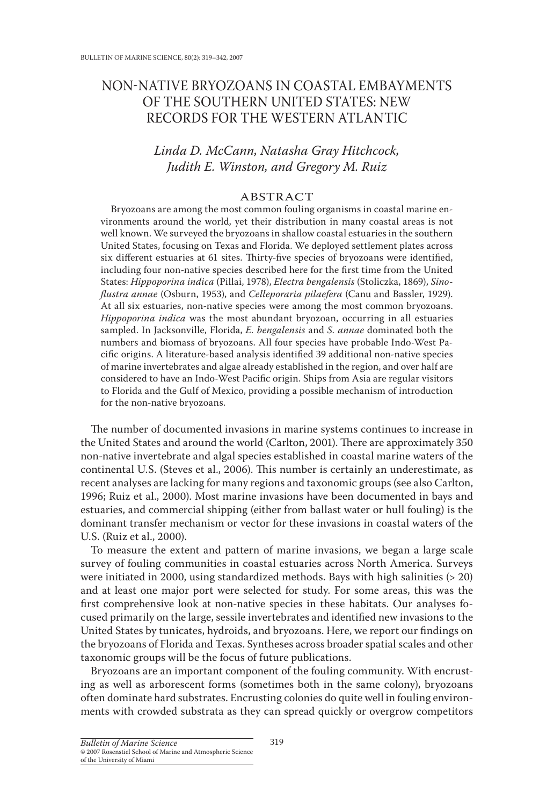# NON-NATIVE BRYOZOANS IN COASTAL EMBAYMENTS OF THE SOUTHERN UNITED STATES: NEW RECORDS FOR THE WESTERN ATLANTIC

## Linda D. McCann, Natasha Gray Hitchcock, Judith E. Winston, and Gregory M. Ruiz

### **ABSTRACT**

Bryozoans are among the most common fouling organisms in coastal marine environments around the world, yet their distribution in many coastal areas is not well known. We surveyed the bryozoans in shallow coastal estuaries in the southern United States, focusing on Texas and Florida. We deployed settlement plates across six different estuaries at 61 sites. Thirty-five species of bryozoans were identified, including four non-native species described here for the first time from the United States: Hippoporina indica (Pillai, 1978), Electra bengalensis (Stoliczka, 1869), Sinoflustra annae (Osburn, 1953), and Celleporaria pilaefera (Canu and Bassler, 1929). At all six estuaries, non-native species were among the most common bryozoans. Hippoporina indica was the most abundant bryozoan, occurring in all estuaries sampled. In Jacksonville, Florida, E. bengalensis and S. annae dominated both the numbers and biomass of bryozoans. All four species have probable Indo-West Pacific origins. A literature-based analysis identified 39 additional non-native species of marine invertebrates and algae already established in the region, and over half are considered to have an Indo-West Pacific origin. Ships from Asia are regular visitors to Florida and the Gulf of Mexico, providing a possible mechanism of introduction for the non-native bryozoans.

The number of documented invasions in marine systems continues to increase in the United States and around the world (Carlton, 2001). There are approximately 350 non-native invertebrate and algal species established in coastal marine waters of the continental U.S. (Steves et al., 2006). This number is certainly an underestimate, as recent analyses are lacking for many regions and taxonomic groups (see also Carlton, 1996; Ruiz et al., 2000). Most marine invasions have been documented in bays and estuaries, and commercial shipping (either from ballast water or hull fouling) is the dominant transfer mechanism or vector for these invasions in coastal waters of the U.S. (Ruiz et al., 2000).

To measure the extent and pattern of marine invasions, we began a large scale survey of fouling communities in coastal estuaries across North America. Surveys were initiated in 2000, using standardized methods. Bays with high salinities ( $>$  20) and at least one major port were selected for study. For some areas, this was the first comprehensive look at non-native species in these habitats. Our analyses focused primarily on the large, sessile invertebrates and identified new invasions to the United States by tunicates, hydroids, and bryozoans. Here, we report our findings on the bryozoans of Florida and Texas. Syntheses across broader spatial scales and other taxonomic groups will be the focus of future publications.

Bryozoans are an important component of the fouling community. With encrusting as well as arborescent forms (sometimes both in the same colony), bryozoans often dominate hard substrates. Encrusting colonies do quite well in fouling environments with crowded substrata as they can spread quickly or overgrow competitors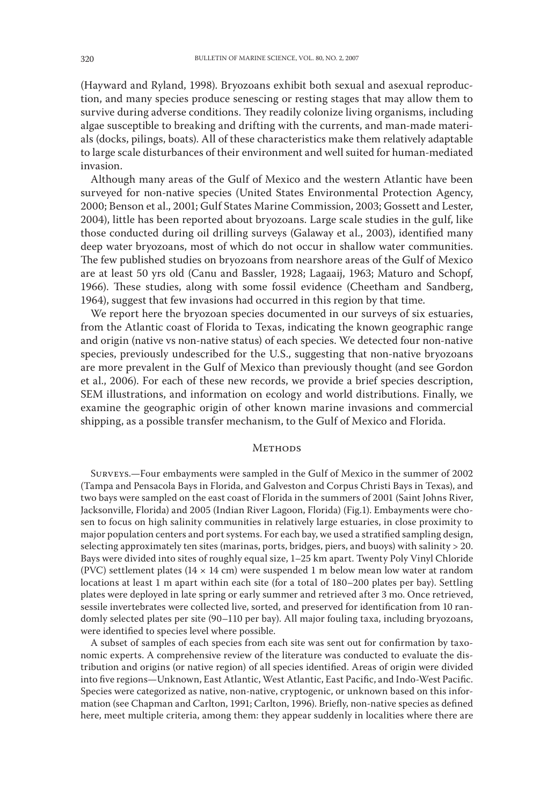(Hayward and Ryland, 1998). Bryozoans exhibit both sexual and asexual reproduction, and many species produce senescing or resting stages that may allow them to survive during adverse conditions. They readily colonize living organisms, including algae susceptible to breaking and drifting with the currents, and man-made materials (docks, pilings, boats). All of these characteristics make them relatively adaptable to large scale disturbances of their environment and well suited for human-mediated invasion.

Although many areas of the Gulf of Mexico and the western Atlantic have been surveyed for non-native species (United States Environmental Protection Agency, 2000; Benson et al., 2001; Gulf States Marine Commission, 2003; Gossett and Lester, 2004), little has been reported about bryozoans. Large scale studies in the gulf, like those conducted during oil drilling surveys (Galaway et al., 2003), identified many deep water bryozoans, most of which do not occur in shallow water communities. The few published studies on bryozoans from nearshore areas of the Gulf of Mexico are at least 50 yrs old (Canu and Bassler, 1928; Lagaaij, 1963; Maturo and Schopf, 1966). These studies, along with some fossil evidence (Cheetham and Sandberg, 1964), suggest that few invasions had occurred in this region by that time.

We report here the bryozoan species documented in our surveys of six estuaries, from the Atlantic coast of Florida to Texas, indicating the known geographic range and origin (native vs non-native status) of each species. We detected four non-native species, previously undescribed for the U.S., suggesting that non-native bryozoans are more prevalent in the Gulf of Mexico than previously thought (and see Gordon et al., 2006). For each of these new records, we provide a brief species description, SEM illustrations, and information on ecology and world distributions. Finally, we examine the geographic origin of other known marine invasions and commercial shipping, as a possible transfer mechanism, to the Gulf of Mexico and Florida.

#### **METHODS**

SURVEYS.-Four embayments were sampled in the Gulf of Mexico in the summer of 2002 (Tampa and Pensacola Bays in Florida, and Galveston and Corpus Christi Bays in Texas), and two bays were sampled on the east coast of Florida in the summers of 2001 (Saint Johns River, Jacksonville, Florida) and 2005 (Indian River Lagoon, Florida) (Fig.1). Embayments were chosen to focus on high salinity communities in relatively large estuaries, in close proximity to major population centers and port systems. For each bay, we used a stratified sampling design, selecting approximately ten sites (marinas, ports, bridges, piers, and buoys) with salinity > 20. Bays were divided into sites of roughly equal size, 1-25 km apart. Twenty Poly Vinyl Chloride (PVC) settlement plates (14  $\times$  14 cm) were suspended 1 m below mean low water at random locations at least 1 m apart within each site (for a total of 180–200 plates per bay). Settling plates were deployed in late spring or early summer and retrieved after 3 mo. Once retrieved, sessile invertebrates were collected live, sorted, and preserved for identification from 10 randomly selected plates per site (90-110 per bay). All major fouling taxa, including bryozoans, were identified to species level where possible.

A subset of samples of each species from each site was sent out for confirmation by taxonomic experts. A comprehensive review of the literature was conducted to evaluate the distribution and origins (or native region) of all species identified. Areas of origin were divided into five regions-Unknown, East Atlantic, West Atlantic, East Pacific, and Indo-West Pacific. Species were categorized as native, non-native, cryptogenic, or unknown based on this information (see Chapman and Carlton, 1991; Carlton, 1996). Briefly, non-native species as defined here, meet multiple criteria, among them: they appear suddenly in localities where there are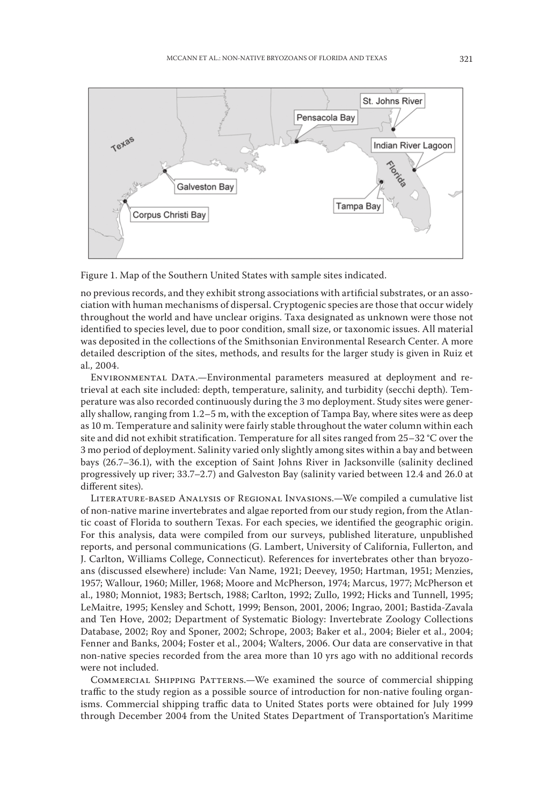



no previous records, and they exhibit strong associations with artificial substrates, or an association with human mechanisms of dispersal. Cryptogenic species are those that occur widely throughout the world and have unclear origins. Taxa designated as unknown were those not identified to species level, due to poor condition, small size, or taxonomic issues. All material was deposited in the collections of the Smithsonian Environmental Research Center. A more detailed description of the sites, methods, and results for the larger study is given in Ruiz et al., 2004.

ENVIRONMENTAL DATA.—Environmental parameters measured at deployment and retrieval at each site included: depth, temperature, salinity, and turbidity (secchi depth). Temperature was also recorded continuously during the 3 mo deployment. Study sites were generally shallow, ranging from 1.2-5 m, with the exception of Tampa Bay, where sites were as deep as 10 m. Temperature and salinity were fairly stable throughout the water column within each site and did not exhibit stratification. Temperature for all sites ranged from 25–32 °C over the 3 mo period of deployment. Salinity varied only slightly among sites within a bay and between bays (26.7–36.1), with the exception of Saint Johns River in Jacksonville (salinity declined progressively up river; 33.7–2.7) and Galveston Bay (salinity varied between 12.4 and 26.0 at different sites).

LITERATURE-BASED ANALYSIS OF REGIONAL INVASIONS.—We compiled a cumulative list of non-native marine invertebrates and algae reported from our study region, from the Atlantic coast of Florida to southern Texas. For each species, we identified the geographic origin. For this analysis, data were compiled from our surveys, published literature, unpublished reports, and personal communications (G. Lambert, University of California, Fullerton, and J. Carlton, Williams College, Connecticut). References for invertebrates other than bryozoans (discussed elsewhere) include: Van Name, 1921; Deevey, 1950; Hartman, 1951; Menzies, 1957; Wallour, 1960; Miller, 1968; Moore and McPherson, 1974; Marcus, 1977; McPherson et al., 1980; Monniot, 1983; Bertsch, 1988; Carlton, 1992; Zullo, 1992; Hicks and Tunnell, 1995; LeMaitre, 1995; Kensley and Schott, 1999; Benson, 2001, 2006; Ingrao, 2001; Bastida-Zavala and Ten Hove, 2002; Department of Systematic Biology: Invertebrate Zoology Collections Database, 2002; Roy and Sponer, 2002; Schrope, 2003; Baker et al., 2004; Bieler et al., 2004; Fenner and Banks, 2004; Foster et al., 2004; Walters, 2006. Our data are conservative in that non-native species recorded from the area more than 10 yrs ago with no additional records were not included.

COMMERCIAL SHIPPING PATTERNS.—We examined the source of commercial shipping traffic to the study region as a possible source of introduction for non-native fouling organisms. Commercial shipping traffic data to United States ports were obtained for July 1999 through December 2004 from the United States Department of Transportation's Maritime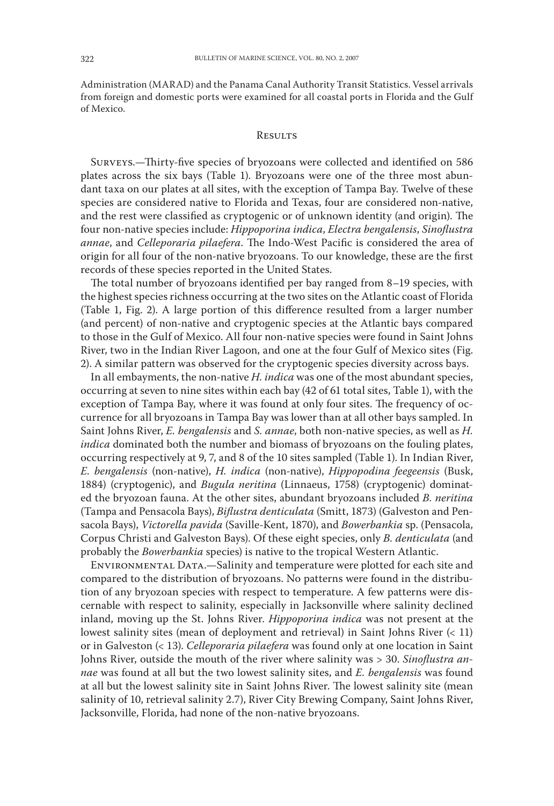Administration (MARAD) and the Panama Canal Authority Transit Statistics. Vessel arrivals from foreign and domestic ports were examined for all coastal ports in Florida and the Gulf of Mexico.

#### **RESULTS**

SURVEYS.-Thirty-five species of bryozoans were collected and identified on 586 plates across the six bays (Table 1). Bryozoans were one of the three most abundant taxa on our plates at all sites, with the exception of Tampa Bay. Twelve of these species are considered native to Florida and Texas, four are considered non-native, and the rest were classified as cryptogenic or of unknown identity (and origin). The four non-native species include: Hippoporina indica, Electra bengalensis, Sinoflustra annae, and Celleporaria pilaefera. The Indo-West Pacific is considered the area of origin for all four of the non-native bryozoans. To our knowledge, these are the first records of these species reported in the United States.

The total number of bryozoans identified per bay ranged from  $8-19$  species, with the highest species richness occurring at the two sites on the Atlantic coast of Florida (Table 1, Fig. 2). A large portion of this difference resulted from a larger number (and percent) of non-native and cryptogenic species at the Atlantic bays compared to those in the Gulf of Mexico. All four non-native species were found in Saint Johns River, two in the Indian River Lagoon, and one at the four Gulf of Mexico sites (Fig. 2). A similar pattern was observed for the cryptogenic species diversity across bays.

In all embayments, the non-native  $H$ . *indica* was one of the most abundant species, occurring at seven to nine sites within each bay (42 of 61 total sites, Table 1), with the exception of Tampa Bay, where it was found at only four sites. The frequency of occurrence for all bryozoans in Tampa Bay was lower than at all other bays sampled. In Saint Johns River, E. bengalensis and S. annae, both non-native species, as well as H. *indica* dominated both the number and biomass of bryozoans on the fouling plates, occurring respectively at 9, 7, and 8 of the 10 sites sampled (Table 1). In Indian River, E. bengalensis (non-native), H. indica (non-native), Hippopodina feegeensis (Busk, 1884) (cryptogenic), and Bugula neritina (Linnaeus, 1758) (cryptogenic) dominated the bryozoan fauna. At the other sites, abundant bryozoans included B. neritina (Tampa and Pensacola Bays), Biflustra denticulata (Smitt, 1873) (Galveston and Pensacola Bays), Victorella pavida (Saville-Kent, 1870), and Bowerbankia sp. (Pensacola, Corpus Christi and Galveston Bays). Of these eight species, only B. denticulata (and probably the Bowerbankia species) is native to the tropical Western Atlantic.

ENVIRONMENTAL DATA.-Salinity and temperature were plotted for each site and compared to the distribution of bryozoans. No patterns were found in the distribution of any bryozoan species with respect to temperature. A few patterns were discernable with respect to salinity, especially in Jacksonville where salinity declined inland, moving up the St. Johns River. Hippoporina indica was not present at the lowest salinity sites (mean of deployment and retrieval) in Saint Johns River  $($  11) or in Galveston (< 13). Celleporaria pilaefera was found only at one location in Saint Johns River, outside the mouth of the river where salinity was > 30. Sinoflustra annae was found at all but the two lowest salinity sites, and E. bengalensis was found at all but the lowest salinity site in Saint Johns River. The lowest salinity site (mean salinity of 10, retrieval salinity 2.7), River City Brewing Company, Saint Johns River, Jacksonville, Florida, had none of the non-native bryozoans.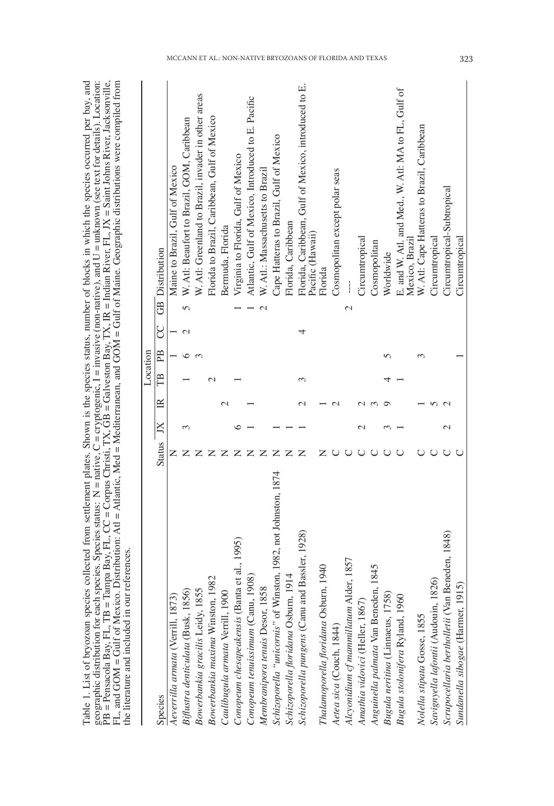geographic distribution for each species. Species status: N = native, C = cryptogenic, I = invasive (non-native), and U = unknown (see text for details). Location:<br>PB = Pensacola Bay, FL, TB = Tampa Bay, FL, CC = Corpus C Table 1. List of bryozoan species collected from settlement plates. Shown is the species status, number of blocks in which the species occurred per bay, and FL, and GOM = Gulf of Mexico. Distribution: Atl = Atlantic, Med = Mediterranean, and GOM = Gulf of Maine. Geographic distributions were compiled from the literature and included in our references.

|                                                                |           |               |                    | Location |    |   |                                                                          |
|----------------------------------------------------------------|-----------|---------------|--------------------|----------|----|---|--------------------------------------------------------------------------|
| Species                                                        | Status JX |               | $\approx$          | Ë        | PB | g | <b>GB</b> Distribution                                                   |
| Aeverrilla armata (Verrill, 1873)                              |           |               |                    |          |    |   | Maine to Brazil, Gulf of Mexico                                          |
| Biflustra denticulata (Busk, 1856)                             |           |               |                    |          |    |   | W. Atl: Beaufort to Brazil, GOM, Caribbean<br>$\overline{5}$             |
| Bowerbankia gracilis Leidy, 1855                               |           |               |                    |          |    |   | W. Atl: Greenland to Brazil, invader in other areas                      |
| Bowerbankia maxima Winston, 1982                               |           |               |                    |          |    |   | Florida to Brazil, Caribbean, Gulf of Mexico                             |
| Caulibugula armata Verrill, 1900                               |           |               | $\scriptstyle\sim$ |          |    |   | Bermuda, Florida                                                         |
| Conopeum chesapeakensis (Banta et al., 1995)                   |           |               |                    |          |    |   | Virginia to Florida, Gulf of Mexico                                      |
| Conopeum tenuissimum (Canu, 1908)                              |           |               |                    |          |    |   | Atlantic, Gulf of Mexico, Introduced to E. Pacific                       |
| Membranipora tenuis Desor, 1858                                |           |               |                    |          |    |   | W. Atl.: Massachusetts to Brazil<br>$\overline{\mathcal{C}}$             |
| Schizoporella "unicornis" of Winston, 1982, not Johnston, 1874 |           |               |                    |          |    |   | Cape Hatteras to Brazil, Gulf of Mexico                                  |
| Schizoporella floridana Osburn, 1914                           |           |               |                    |          |    |   | Florida, Caribbean                                                       |
| Schizoporella pungens (Canu and Bassler, 1928)                 |           |               |                    |          |    |   | Florida, Caribbean, Gulf of Mexico, introduced to E.<br>Pacific (Hawaii) |
| 040<br>Thalamoporella floridana Osburn, 1                      |           |               |                    |          |    |   | Florida                                                                  |
| Aetea sica (Couch, 1844)                                       |           |               |                    |          |    |   | Cosmopolitan except polar seas                                           |
| 1857<br>Alcyonidium cf mammillatum Alder,                      |           |               |                    |          |    |   | $\mathcal{C}$                                                            |
| Anathia vidovici (Heller, 1867)                                |           |               |                    |          |    |   | Circumtropical                                                           |
| 845<br>Anguinella palmata Van Beneden,                         |           |               |                    |          |    |   | Cosmopolitan                                                             |
| Bugula neritina (Linnaeus, 1758)                               |           |               |                    |          | ما |   | Worldwide                                                                |
| Bugula stolonifera Ryland, 1960                                |           |               |                    |          |    |   | E. and W. Atl. and Med., W. Atl: MA to FL, Gulf of<br>Mexico, Brazil     |
| Nolella stipata Gosse, 1855                                    |           |               |                    |          |    |   | W. Atl: Cape Hatteras to Brazil, Caribbean                               |
| Savignyella lafontii (Audouin, 1826                            |           |               |                    |          |    |   | Circumtropical                                                           |
| Scrupocellaria bertholletii (Van Beneden, 1848)                |           | $\mathcal{C}$ |                    |          |    |   | Circumtropical-Subtropical                                               |
| Sundanella sibogae (Harmer, 1915)                              |           |               |                    |          |    |   | Circumtropical                                                           |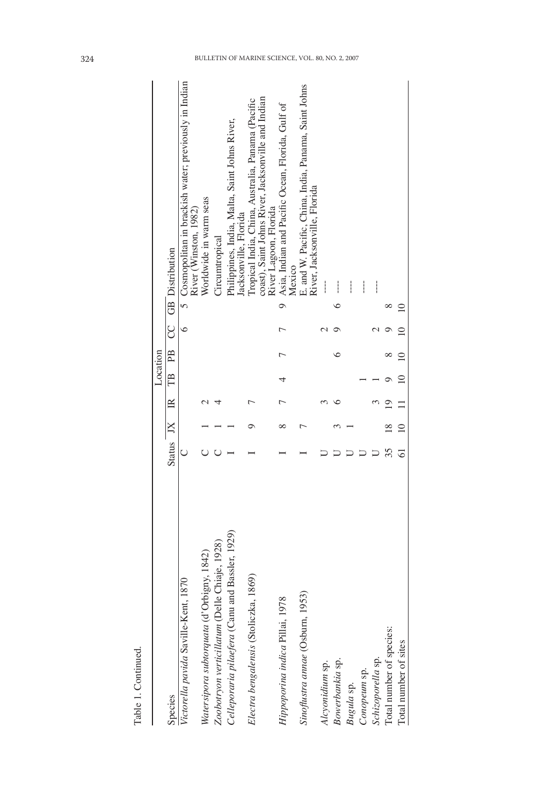|                                                 |                 |             | Location |    |            |                                                                                                                                  |
|-------------------------------------------------|-----------------|-------------|----------|----|------------|----------------------------------------------------------------------------------------------------------------------------------|
| Species                                         | Status JX IR TB |             |          | PB |            | CC GB Distribution                                                                                                               |
| Victorella pavida Saville-Kent, 1870            |                 |             |          |    | $\epsilon$ | 5 Cosmopolitan in brackish water; previously in Indian<br>River (Winston, 1982)                                                  |
| Watersipora subtorquata (d'Orbigny, 1842)       |                 |             |          |    |            | Worldwide in warm seas                                                                                                           |
| Zoobotryon verticillatum (Delle Chiaje, 1928)   |                 |             |          |    |            | Circumtropical                                                                                                                   |
| Celleporaria pilaefera (Canu and Bassler, 1929) |                 |             |          |    |            | Philippines, India, Malta, Saint Johns River,<br>Jacksonville, Florida                                                           |
| Electra bengalensis (Stoliczka, 1869)           |                 |             |          |    |            | coast), Saint Johns River, Jacksonville and Indian<br>Iropical India, China, Australia, Panama (Pacific<br>River Lagoon, Florida |
| Hippoporina indica Pillai, 1978                 |                 |             |          |    |            | Asia, Indian and Pacific Ocean, Florida, Gulf of<br>Mexico<br>$\circ$                                                            |
| Sinoflustra annae (Osburn, 1953)                |                 |             |          |    |            | E. and W. Pacific, China, India, Panama, Saint Johns<br>River, Jacksonville, Florida                                             |
| Alcyonidium sp.                                 |                 |             |          |    |            |                                                                                                                                  |
| Bowerbankia sp.                                 |                 |             |          |    |            |                                                                                                                                  |
| Bugula sp.                                      |                 |             |          |    |            |                                                                                                                                  |
| Conopeum sp.                                    |                 |             |          |    |            |                                                                                                                                  |
| Schizoporella sp.                               |                 |             |          |    |            |                                                                                                                                  |
| Total number of species:                        | 35              |             |          |    |            |                                                                                                                                  |
| Total number of sites                           |                 | $\subseteq$ |          |    |            |                                                                                                                                  |
|                                                 |                 |             |          |    |            |                                                                                                                                  |

Table 1. Continued.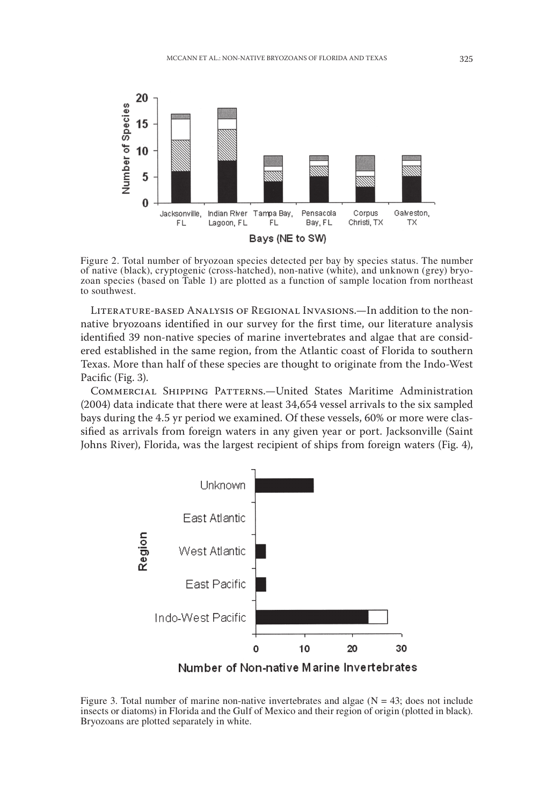

Figure 2. Total number of bryozoan species detected per bay by species status. The number of native (black), cryptogenic (cross-hatched), non-native (white), and unknown (grey) bryozoan species (based on Table 1) are plotted as a function of sample location from northeast to southwest.

LITERATURE-BASED ANALYSIS OF REGIONAL INVASIONS.—In addition to the nonnative bryozoans identified in our survey for the first time, our literature analysis identified 39 non-native species of marine invertebrates and algae that are considered established in the same region, from the Atlantic coast of Florida to southern Texas. More than half of these species are thought to originate from the Indo-West Pacific (Fig. 3).

COMMERCIAL SHIPPING PATTERNS.-United States Maritime Administration (2004) data indicate that there were at least 34,654 vessel arrivals to the six sampled bays during the 4.5 yr period we examined. Of these vessels, 60% or more were classified as arrivals from foreign waters in any given year or port. Jacksonville (Saint Johns River), Florida, was the largest recipient of ships from foreign waters (Fig. 4),



Figure 3. Total number of marine non-native invertebrates and algae ( $N = 43$ ; does not include insects or diatoms) in Florida and the Gulf of Mexico and their region of origin (plotted in black). Bryozoans are plotted separately in white.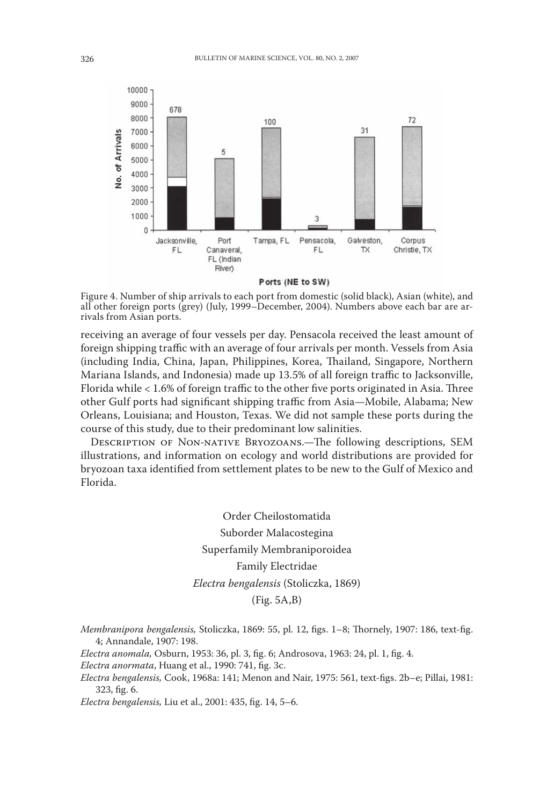

Ports (NE to SW)

Figure 4. Number of ship arrivals to each port from domestic (solid black), Asian (white), and all other foreign ports (grey) (July, 1999–December, 2004). Numbers above each bar are arrivals from Asian ports.

receiving an average of four vessels per day. Pensacola received the least amount of foreign shipping traffic with an average of four arrivals per month. Vessels from Asia (including India, China, Japan, Philippines, Korea, Thailand, Singapore, Northern Mariana Islands, and Indonesia) made up 13.5% of all foreign traffic to Jacksonville, Florida while < 1.6% of foreign traffic to the other five ports originated in Asia. Three other Gulf ports had significant shipping traffic from Asia—Mobile, Alabama; New Orleans, Louisiana; and Houston, Texas. We did not sample these ports during the course of this study, due to their predominant low salinities.

DESCRIPTION OF NON-NATIVE BRYOZOANS.—The following descriptions, SEM illustrations, and information on ecology and world distributions are provided for bryozoan taxa identified from settlement plates to be new to the Gulf of Mexico and Florida.

> Order Cheilostomatida Suborder Malacostegina Superfamily Membraniporoidea Family Electridae Electra bengalensis (Stoliczka, 1869)  $(Fig. 5A, B)$

Membranipora bengalensis, Stoliczka, 1869: 55, pl. 12, figs. 1-8; Thornely, 1907: 186, text-fig. 4; Annandale, 1907: 198.

Electra anomala, Osburn, 1953: 36, pl. 3, fig. 6; Androsova, 1963: 24, pl. 1, fig. 4.

Electra anormata, Huang et al., 1990: 741, fig. 3c.

Electra bengalensis, Cook, 1968a: 141; Menon and Nair, 1975: 561, text-figs. 2b-e; Pillai, 1981: 323, fig. 6.

Electra bengalensis, Liu et al., 2001: 435, fig. 14, 5-6.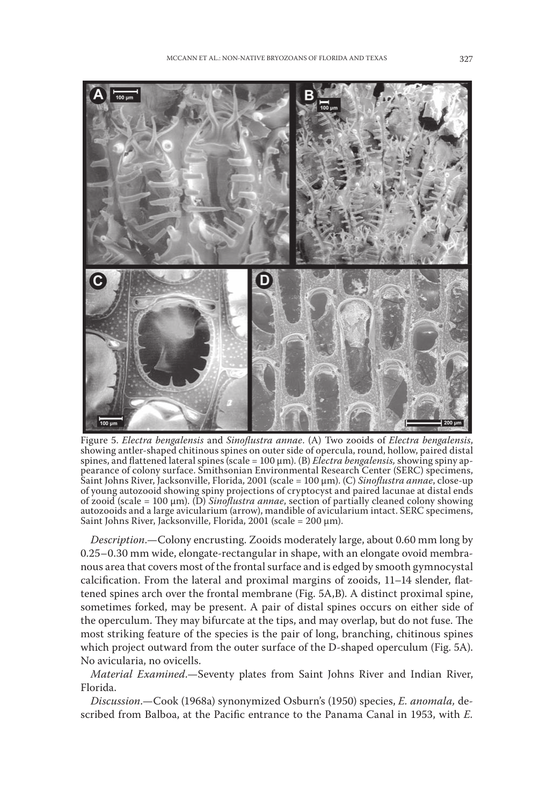

Figure 5. Electra bengalensis and Sinoflustra annae. (A) Two zooids of Electra bengalensis, showing antler-shaped chitinous spines on outer side of opercula, round, hollow, paired distal spines, and flattened lateral spines (scale =  $100 \mu m$ ). (B) *Electra bengalensis*, showing spiny appearance of colony surface. Smithsonian Environmental Research Center (SERC) specimens, Saint Johns River, Jacksonville, Florida, 2001 (scale = 100 µm). (C) Sinoflustra annae, close-up of young autozooid showing spiny projections of cryptocyst and paired lacunae at distal ends of zooid (scale =  $100 \mu m$ ). (D) *Sinoflustra annae*, section of partially cleaned colony showing autozooids and a large avicularium (arrow), mandible of avicularium intact. SERC specimens, Saint Johns River, Jacksonville, Florida, 2001 (scale =  $200 \mu m$ ).

Description.-Colony encrusting. Zooids moderately large, about 0.60 mm long by 0.25-0.30 mm wide, elongate-rectangular in shape, with an elongate ovoid membranous area that covers most of the frontal surface and is edged by smooth gymnocystal calcification. From the lateral and proximal margins of zooids, 11-14 slender, flattened spines arch over the frontal membrane (Fig. 5A,B). A distinct proximal spine, sometimes forked, may be present. A pair of distal spines occurs on either side of the operculum. They may bifurcate at the tips, and may overlap, but do not fuse. The most striking feature of the species is the pair of long, branching, chitinous spines which project outward from the outer surface of the D-shaped operculum (Fig. 5A). No avicularia, no ovicells.

Material Examined.-Seventy plates from Saint Johns River and Indian River, Florida.

Discussion.-Cook (1968a) synonymized Osburn's (1950) species, E. anomala, described from Balboa, at the Pacific entrance to the Panama Canal in 1953, with E.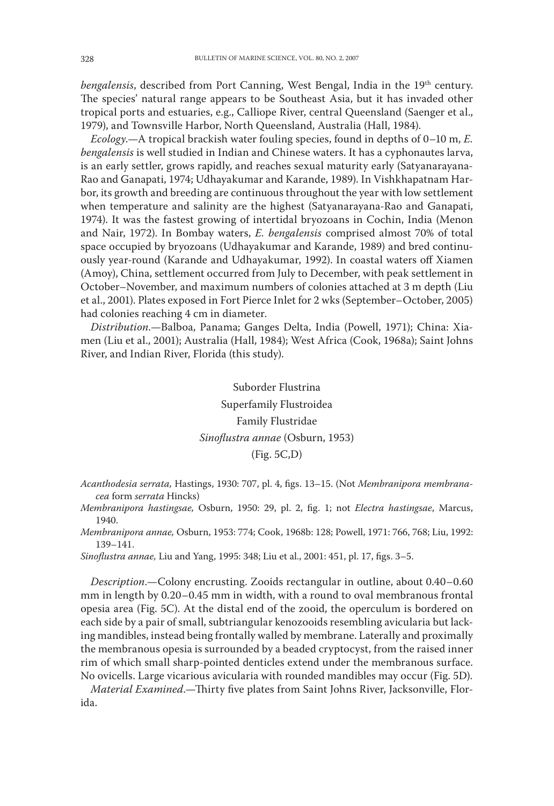bengalensis, described from Port Canning, West Bengal, India in the 19th century. The species' natural range appears to be Southeast Asia, but it has invaded other tropical ports and estuaries, e.g., Calliope River, central Queensland (Saenger et al., 1979), and Townsville Harbor, North Queensland, Australia (Hall, 1984).

Ecology.—A tropical brackish water fouling species, found in depths of 0-10 m, E. bengalensis is well studied in Indian and Chinese waters. It has a cyphonautes larva, is an early settler, grows rapidly, and reaches sexual maturity early (Satyanarayana-Rao and Ganapati, 1974; Udhayakumar and Karande, 1989). In Vishkhapatnam Harbor, its growth and breeding are continuous throughout the year with low settlement when temperature and salinity are the highest (Satyanarayana-Rao and Ganapati, 1974). It was the fastest growing of intertidal bryozoans in Cochin, India (Menon and Nair, 1972). In Bombay waters, E. bengalensis comprised almost 70% of total space occupied by bryozoans (Udhayakumar and Karande, 1989) and bred continuously year-round (Karande and Udhayakumar, 1992). In coastal waters off Xiamen (Amoy), China, settlement occurred from July to December, with peak settlement in October–November, and maximum numbers of colonies attached at 3 m depth (Liu et al., 2001). Plates exposed in Fort Pierce Inlet for 2 wks (September-October, 2005) had colonies reaching 4 cm in diameter.

Distribution.-Balboa, Panama; Ganges Delta, India (Powell, 1971); China: Xiamen (Liu et al., 2001); Australia (Hall, 1984); West Africa (Cook, 1968a); Saint Johns River, and Indian River, Florida (this study).

> Suborder Flustrina Superfamily Flustroidea Family Flustridae Sinoflustra annae (Osburn, 1953)  $(Fig. 5C,D)$

Acanthodesia serrata, Hastings, 1930: 707, pl. 4, figs. 13-15. (Not Membranipora membranacea form serrata Hincks)

Membranipora hastingsae, Osburn, 1950: 29, pl. 2, fig. 1; not Electra hastingsae, Marcus, 1940.

Membranipora annae, Osburn, 1953: 774; Cook, 1968b: 128; Powell, 1971: 766, 768; Liu, 1992:  $139 - 141.$ 

Sinoflustra annae, Liu and Yang, 1995: 348; Liu et al., 2001: 451, pl. 17, figs. 3-5.

Description.-Colony encrusting. Zooids rectangular in outline, about 0.40-0.60 mm in length by 0.20-0.45 mm in width, with a round to oval membranous frontal opesia area (Fig. 5C). At the distal end of the zooid, the operculum is bordered on each side by a pair of small, subtriangular kenozooids resembling avicularia but lacking mandibles, instead being frontally walled by membrane. Laterally and proximally the membranous opesia is surrounded by a beaded cryptocyst, from the raised inner rim of which small sharp-pointed denticles extend under the membranous surface. No ovicells. Large vicarious avicularia with rounded mandibles may occur (Fig. 5D).

Material Examined.-Thirty five plates from Saint Johns River, Jacksonville, Florida.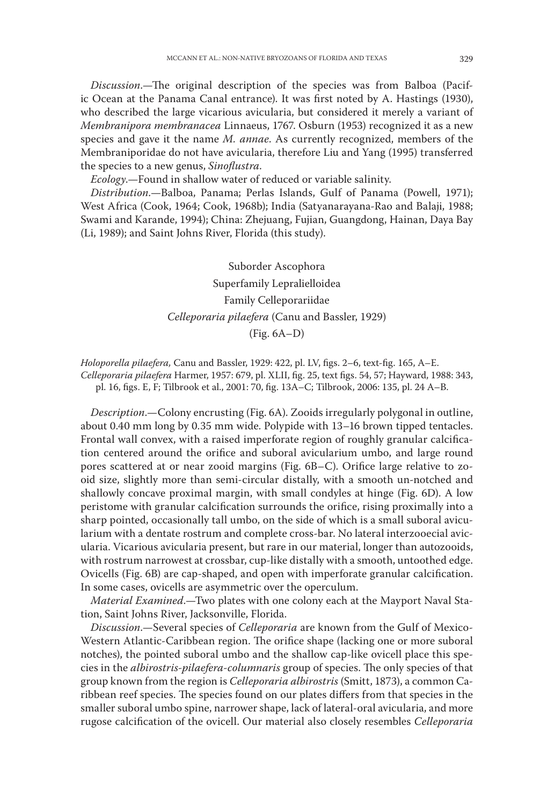*Discussion*.—The original description of the species was from Balboa (Pacific Ocean at the Panama Canal entrance). It was first noted by A. Hastings (1930), who described the large vicarious avicularia, but considered it merely a variant of Membranipora membranacea Linnaeus, 1767. Osburn (1953) recognized it as a new species and gave it the name M. annae. As currently recognized, members of the Membraniporidae do not have avicularia, therefore Liu and Yang (1995) transferred the species to a new genus, Sinoflustra.

Ecology.-Found in shallow water of reduced or variable salinity.

Distribution.-Balboa, Panama; Perlas Islands, Gulf of Panama (Powell, 1971); West Africa (Cook, 1964; Cook, 1968b); India (Satyanarayana-Rao and Balaji, 1988; Swami and Karande, 1994); China: Zhejuang, Fujian, Guangdong, Hainan, Daya Bay (Li, 1989); and Saint Johns River, Florida (this study).

> Suborder Ascophora Superfamily Lepralielloidea Family Celleporariidae Celleporaria pilaefera (Canu and Bassler, 1929)  $(Fig. 6A-D)$

Holoporella pilaefera, Canu and Bassler, 1929: 422, pl. LV, figs. 2-6, text-fig. 165, A-E. Celleporaria pilaefera Harmer, 1957: 679, pl. XLII, fig. 25, text figs. 54, 57; Hayward, 1988: 343, pl. 16, figs. E, F; Tilbrook et al., 2001: 70, fig. 13A-C; Tilbrook, 2006: 135, pl. 24 A-B.

Description.-Colony encrusting (Fig. 6A). Zooids irregularly polygonal in outline, about 0.40 mm long by 0.35 mm wide. Polypide with 13-16 brown tipped tentacles. Frontal wall convex, with a raised imperforate region of roughly granular calcification centered around the orifice and suboral avicularium umbo, and large round pores scattered at or near zooid margins (Fig. 6B–C). Orifice large relative to zooid size, slightly more than semi-circular distally, with a smooth un-notched and shallowly concave proximal margin, with small condyles at hinge (Fig. 6D). A low peristome with granular calcification surrounds the orifice, rising proximally into a sharp pointed, occasionally tall umbo, on the side of which is a small suboral avicularium with a dentate rostrum and complete cross-bar. No lateral interzooecial avicularia. Vicarious avicularia present, but rare in our material, longer than autozooids, with rostrum narrowest at crossbar, cup-like distally with a smooth, untoothed edge. Ovicells (Fig. 6B) are cap-shaped, and open with imperforate granular calcification. In some cases, ovicells are asymmetric over the operculum.

Material Examined.—Two plates with one colony each at the Mayport Naval Station, Saint Johns River, Jacksonville, Florida.

Discussion.-Several species of Celleporaria are known from the Gulf of Mexico-Western Atlantic-Caribbean region. The orifice shape (lacking one or more suboral notches), the pointed suboral umbo and the shallow cap-like ovicell place this species in the albirostris-pilaefera-columnaris group of species. The only species of that group known from the region is *Celleporaria albirostris* (Smitt, 1873), a common Caribbean reef species. The species found on our plates differs from that species in the smaller suboral umbo spine, narrower shape, lack of lateral-oral avicularia, and more rugose calcification of the ovicell. Our material also closely resembles Celleporaria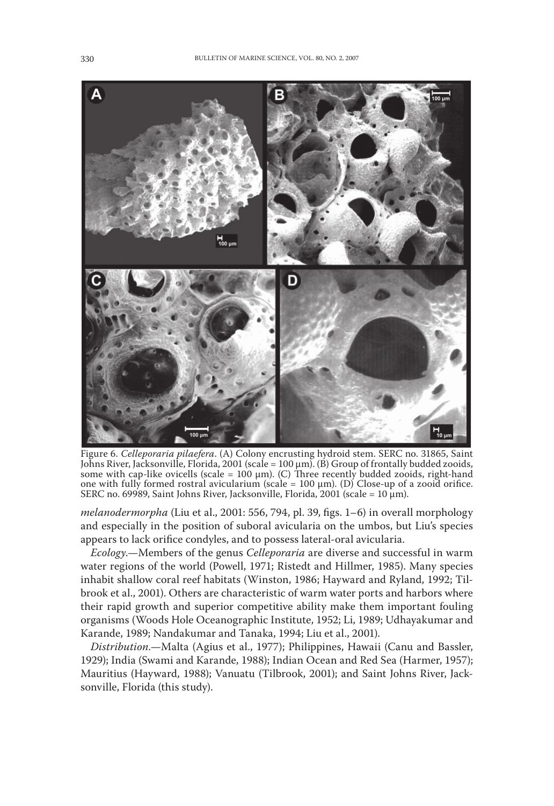

Figure 6. Celleporaria pilaefera. (A) Colony encrusting hydroid stem. SERC no. 31865, Saint Johns River, Jacksonville, Florida, 2001 (scale = 100 µm). (B) Group of frontally budded zooids, some with cap-like ovicells (scale =  $100 \mu m$ ). (C) Three recently budded zooids, right-hand one with fully formed rostral avicularium (scale =  $100 \mu m$ ). (D) Close-up of a zooid orifice. SERC no. 69989, Saint Johns River, Jacksonville, Florida, 2001 (scale = 10 µm).

melanodermorpha (Liu et al., 2001: 556, 794, pl. 39, figs. 1-6) in overall morphology and especially in the position of suboral avicularia on the umbos, but Liu's species appears to lack orifice condyles, and to possess lateral-oral avicularia.

*Ecology*.—Members of the genus *Celleporaria* are diverse and successful in warm water regions of the world (Powell, 1971; Ristedt and Hillmer, 1985). Many species inhabit shallow coral reef habitats (Winston, 1986; Hayward and Ryland, 1992; Tilbrook et al., 2001). Others are characteristic of warm water ports and harbors where their rapid growth and superior competitive ability make them important fouling organisms (Woods Hole Oceanographic Institute, 1952; Li, 1989; Udhayakumar and Karande, 1989; Nandakumar and Tanaka, 1994; Liu et al., 2001).

Distribution.—Malta (Agius et al., 1977); Philippines, Hawaii (Canu and Bassler, 1929); India (Swami and Karande, 1988); Indian Ocean and Red Sea (Harmer, 1957); Mauritius (Hayward, 1988); Vanuatu (Tilbrook, 2001); and Saint Johns River, Jacksonville, Florida (this study).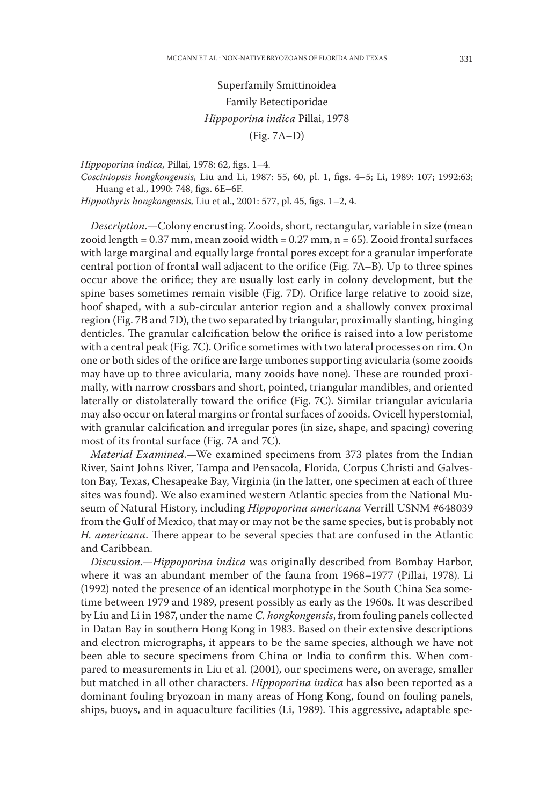Superfamily Smittinoidea Family Betectiporidae Hippoporina indica Pillai, 1978  $(Fig. 7A-D)$ 

Hippoporina indica, Pillai, 1978: 62, figs. 1-4.

Cosciniopsis hongkongensis, Liu and Li, 1987: 55, 60, pl. 1, figs. 4-5; Li, 1989: 107; 1992:63; Huang et al., 1990: 748, figs. 6E-6F.

Hippothyris hongkongensis, Liu et al., 2001: 577, pl. 45, figs. 1-2, 4.

Description.—Colony encrusting. Zooids, short, rectangular, variable in size (mean zooid length =  $0.37$  mm, mean zooid width =  $0.27$  mm, n =  $65$ ). Zooid frontal surfaces with large marginal and equally large frontal pores except for a granular imperforate central portion of frontal wall adjacent to the orifice (Fig. 7A–B). Up to three spines occur above the orifice; they are usually lost early in colony development, but the spine bases sometimes remain visible (Fig. 7D). Orifice large relative to zooid size, hoof shaped, with a sub-circular anterior region and a shallowly convex proximal region (Fig. 7B and 7D), the two separated by triangular, proximally slanting, hinging denticles. The granular calcification below the orifice is raised into a low peristome with a central peak (Fig. 7C). Orifice sometimes with two lateral processes on rim. On one or both sides of the orifice are large umbones supporting avicularia (some zooids may have up to three avicularia, many zooids have none). These are rounded proximally, with narrow crossbars and short, pointed, triangular mandibles, and oriented laterally or distolaterally toward the orifice (Fig. 7C). Similar triangular avicularia may also occur on lateral margins or frontal surfaces of zooids. Ovicell hyperstomial, with granular calcification and irregular pores (in size, shape, and spacing) covering most of its frontal surface (Fig. 7A and 7C).

Material Examined.—We examined specimens from 373 plates from the Indian River, Saint Johns River, Tampa and Pensacola, Florida, Corpus Christi and Galveston Bay, Texas, Chesapeake Bay, Virginia (in the latter, one specimen at each of three sites was found). We also examined western Atlantic species from the National Museum of Natural History, including *Hippoporina americana* Verrill USNM #648039 from the Gulf of Mexico, that may or may not be the same species, but is probably not H. americana. There appear to be several species that are confused in the Atlantic and Caribbean.

Discussion.-Hippoporina indica was originally described from Bombay Harbor, where it was an abundant member of the fauna from 1968-1977 (Pillai, 1978). Li (1992) noted the presence of an identical morphotype in the South China Sea sometime between 1979 and 1989, present possibly as early as the 1960s. It was described by Liu and Li in 1987, under the name C. hongkongensis, from fouling panels collected in Datan Bay in southern Hong Kong in 1983. Based on their extensive descriptions and electron micrographs, it appears to be the same species, although we have not been able to secure specimens from China or India to confirm this. When compared to measurements in Liu et al. (2001), our specimens were, on average, smaller but matched in all other characters. Hippoporina indica has also been reported as a dominant fouling bryozoan in many areas of Hong Kong, found on fouling panels, ships, buoys, and in aquaculture facilities (Li, 1989). This aggressive, adaptable spe-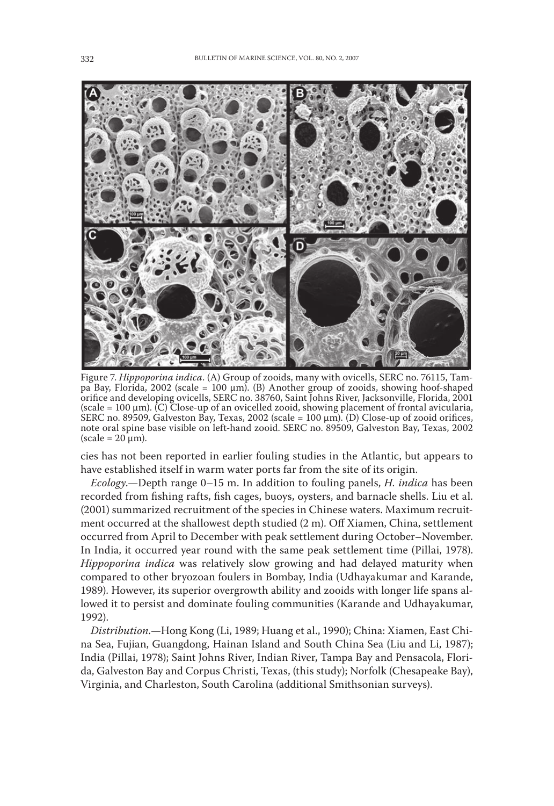

Figure 7. Hippoporina indica. (A) Group of zooids, many with ovicells, SERC no. 76115, Tampa Bay, Florida, 2002 (scale = 100 μm). (B) Another group of zooids, showing hoof-shaped orifice and developing ovicells, SERC no. 38760, Saint Johns River, Jacksonville, Florida, 2001 (scale =  $100 \mu m$ ). (C) Close-up of an ovicelled zooid, showing placement of frontal avicularia, SERC no. 89509, Galveston Bay, Texas, 2002 (scale =  $100 \mu m$ ). (D) Close-up of zooid orifices, note oral spine base visible on left-hand zooid. SERC no. 89509, Galveston Bay, Texas, 2002  $(scale = 20 \mu m)$ .

cies has not been reported in earlier fouling studies in the Atlantic, but appears to have established itself in warm water ports far from the site of its origin.

*Ecology*.—Depth range 0–15 m. In addition to fouling panels, *H. indica* has been recorded from fishing rafts, fish cages, buoys, oysters, and barnacle shells. Liu et al. (2001) summarized recruitment of the species in Chinese waters. Maximum recruitment occurred at the shallowest depth studied (2 m). Off Xiamen, China, settlement occurred from April to December with peak settlement during October-November. In India, it occurred year round with the same peak settlement time (Pillai, 1978). Hippoporina indica was relatively slow growing and had delayed maturity when compared to other bryozoan foulers in Bombay, India (Udhayakumar and Karande, 1989). However, its superior overgrowth ability and zooids with longer life spans allowed it to persist and dominate fouling communities (Karande and Udhayakumar, 1992).

Distribution.—Hong Kong (Li, 1989; Huang et al., 1990); China: Xiamen, East China Sea, Fujian, Guangdong, Hainan Island and South China Sea (Liu and Li, 1987); India (Pillai, 1978); Saint Johns River, Indian River, Tampa Bay and Pensacola, Florida, Galveston Bay and Corpus Christi, Texas, (this study); Norfolk (Chesapeake Bay), Virginia, and Charleston, South Carolina (additional Smithsonian surveys).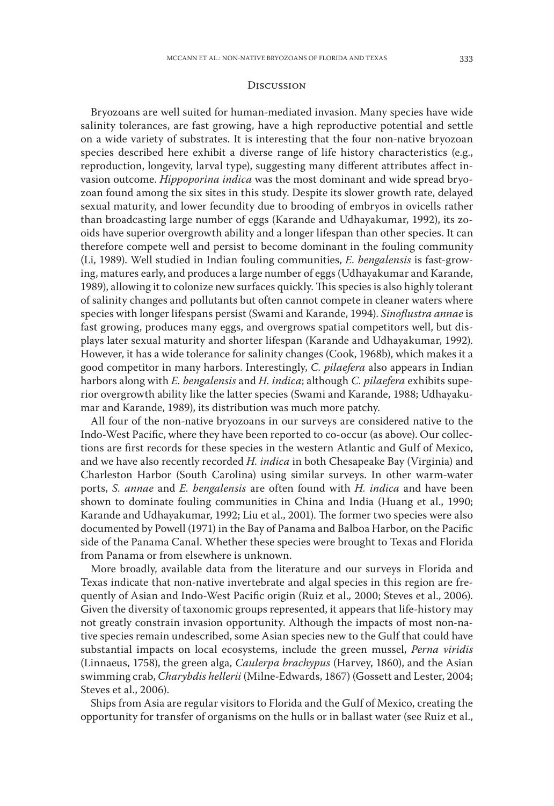#### **DISCUSSION**

Bryozoans are well suited for human-mediated invasion. Many species have wide salinity tolerances, are fast growing, have a high reproductive potential and settle on a wide variety of substrates. It is interesting that the four non-native bryozoan species described here exhibit a diverse range of life history characteristics (e.g., reproduction, longevity, larval type), suggesting many different attributes affect invasion outcome. *Hippoporina indica* was the most dominant and wide spread bryozoan found among the six sites in this study. Despite its slower growth rate, delayed sexual maturity, and lower fecundity due to brooding of embryos in ovicells rather than broadcasting large number of eggs (Karande and Udhayakumar, 1992), its zooids have superior overgrowth ability and a longer lifespan than other species. It can therefore compete well and persist to become dominant in the fouling community (Li, 1989). Well studied in Indian fouling communities, E. bengalensis is fast-growing, matures early, and produces a large number of eggs (Udhayakumar and Karande, 1989), allowing it to colonize new surfaces quickly. This species is also highly tolerant of salinity changes and pollutants but often cannot compete in cleaner waters where species with longer lifespans persist (Swami and Karande, 1994). Sinoflustra annae is fast growing, produces many eggs, and overgrows spatial competitors well, but displays later sexual maturity and shorter lifespan (Karande and Udhayakumar, 1992). However, it has a wide tolerance for salinity changes (Cook, 1968b), which makes it a good competitor in many harbors. Interestingly, C. pilaefera also appears in Indian harbors along with E. bengalensis and H. indica; although C. pilaefera exhibits superior overgrowth ability like the latter species (Swami and Karande, 1988; Udhayakumar and Karande, 1989), its distribution was much more patchy.

All four of the non-native bryozoans in our surveys are considered native to the Indo-West Pacific, where they have been reported to co-occur (as above). Our collections are first records for these species in the western Atlantic and Gulf of Mexico, and we have also recently recorded *H. indica* in both Chesapeake Bay (Virginia) and Charleston Harbor (South Carolina) using similar surveys. In other warm-water ports, S. annae and E. bengalensis are often found with  $H$ . indica and have been shown to dominate fouling communities in China and India (Huang et al., 1990; Karande and Udhayakumar, 1992; Liu et al., 2001). The former two species were also documented by Powell (1971) in the Bay of Panama and Balboa Harbor, on the Pacific side of the Panama Canal. Whether these species were brought to Texas and Florida from Panama or from elsewhere is unknown.

More broadly, available data from the literature and our surveys in Florida and Texas indicate that non-native invertebrate and algal species in this region are frequently of Asian and Indo-West Pacific origin (Ruiz et al., 2000; Steves et al., 2006). Given the diversity of taxonomic groups represented, it appears that life-history may not greatly constrain invasion opportunity. Although the impacts of most non-native species remain undescribed, some Asian species new to the Gulf that could have substantial impacts on local ecosystems, include the green mussel, *Perna viridis* (Linnaeus, 1758), the green alga, *Caulerpa brachypus* (Harvey, 1860), and the Asian swimming crab, *Charybdis hellerii* (Milne-Edwards, 1867) (Gossett and Lester, 2004; Steves et al., 2006).

Ships from Asia are regular visitors to Florida and the Gulf of Mexico, creating the opportunity for transfer of organisms on the hulls or in ballast water (see Ruiz et al.,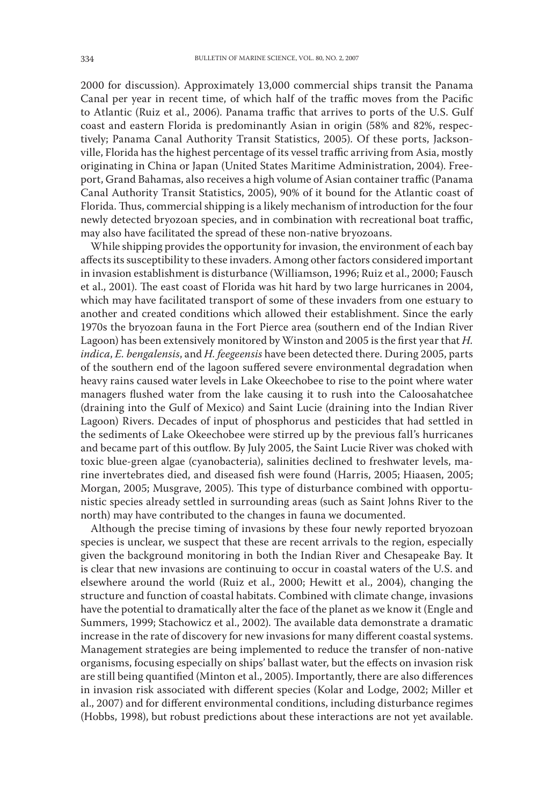2000 for discussion). Approximately 13,000 commercial ships transit the Panama Canal per year in recent time, of which half of the traffic moves from the Pacific to Atlantic (Ruiz et al., 2006). Panama traffic that arrives to ports of the U.S. Gulf coast and eastern Florida is predominantly Asian in origin (58% and 82%, respectively; Panama Canal Authority Transit Statistics, 2005). Of these ports, Jacksonville, Florida has the highest percentage of its vessel traffic arriving from Asia, mostly originating in China or Japan (United States Maritime Administration, 2004). Freeport, Grand Bahamas, also receives a high volume of Asian container traffic (Panama Canal Authority Transit Statistics, 2005), 90% of it bound for the Atlantic coast of Florida. Thus, commercial shipping is a likely mechanism of introduction for the four newly detected bryozoan species, and in combination with recreational boat traffic, may also have facilitated the spread of these non-native bryozoans.

While shipping provides the opportunity for invasion, the environment of each bay affects its susceptibility to these invaders. Among other factors considered important in invasion establishment is disturbance (Williamson, 1996; Ruiz et al., 2000; Fausch et al., 2001). The east coast of Florida was hit hard by two large hurricanes in 2004, which may have facilitated transport of some of these invaders from one estuary to another and created conditions which allowed their establishment. Since the early 1970s the bryozoan fauna in the Fort Pierce area (southern end of the Indian River Lagoon) has been extensively monitored by Winston and 2005 is the first year that H. indica, E. bengalensis, and H. feegeensis have been detected there. During 2005, parts of the southern end of the lagoon suffered severe environmental degradation when heavy rains caused water levels in Lake Okeechobee to rise to the point where water managers flushed water from the lake causing it to rush into the Caloosahatchee (draining into the Gulf of Mexico) and Saint Lucie (draining into the Indian River Lagoon) Rivers. Decades of input of phosphorus and pesticides that had settled in the sediments of Lake Okeechobee were stirred up by the previous fall's hurricanes and became part of this outflow. By July 2005, the Saint Lucie River was choked with toxic blue-green algae (cyanobacteria), salinities declined to freshwater levels, marine invertebrates died, and diseased fish were found (Harris, 2005; Hiaasen, 2005; Morgan, 2005; Musgrave, 2005). This type of disturbance combined with opportunistic species already settled in surrounding areas (such as Saint Johns River to the north) may have contributed to the changes in fauna we documented.

Although the precise timing of invasions by these four newly reported bryozoan species is unclear, we suspect that these are recent arrivals to the region, especially given the background monitoring in both the Indian River and Chesapeake Bay. It is clear that new invasions are continuing to occur in coastal waters of the U.S. and elsewhere around the world (Ruiz et al., 2000; Hewitt et al., 2004), changing the structure and function of coastal habitats. Combined with climate change, invasions have the potential to dramatically alter the face of the planet as we know it (Engle and Summers, 1999; Stachowicz et al., 2002). The available data demonstrate a dramatic increase in the rate of discovery for new invasions for many different coastal systems. Management strategies are being implemented to reduce the transfer of non-native organisms, focusing especially on ships' ballast water, but the effects on invasion risk are still being quantified (Minton et al., 2005). Importantly, there are also differences in invasion risk associated with different species (Kolar and Lodge, 2002; Miller et al., 2007) and for different environmental conditions, including disturbance regimes (Hobbs, 1998), but robust predictions about these interactions are not yet available.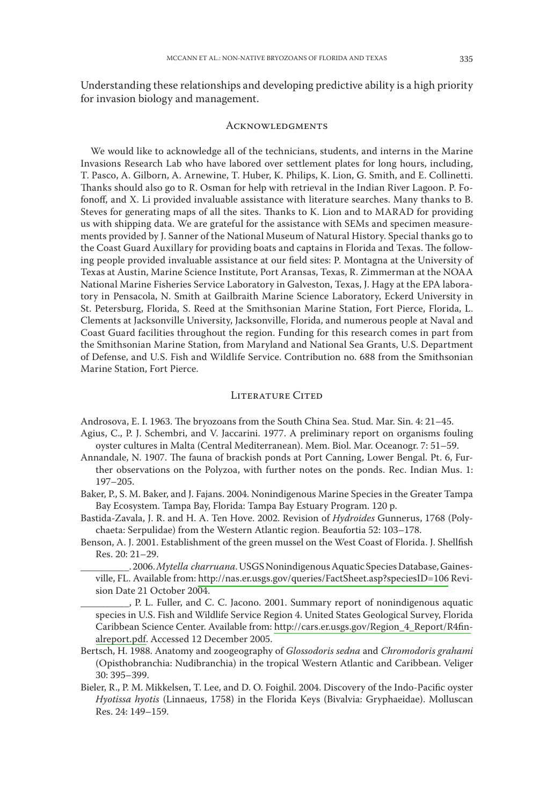Understanding these relationships and developing predictive ability is a high priority for invasion biology and management.

#### **ACKNOWLEDGMENTS**

We would like to acknowledge all of the technicians, students, and interns in the Marine Invasions Research Lab who have labored over settlement plates for long hours, including, T. Pasco, A. Gilborn, A. Arnewine, T. Huber, K. Philips, K. Lion, G. Smith, and E. Collinetti. Thanks should also go to R. Osman for help with retrieval in the Indian River Lagoon. P. Fofonoff, and X. Li provided invaluable assistance with literature searches. Many thanks to B. Steves for generating maps of all the sites. Thanks to K. Lion and to MARAD for providing us with shipping data. We are grateful for the assistance with SEMs and specimen measurements provided by J. Sanner of the National Museum of Natural History. Special thanks go to the Coast Guard Auxillary for providing boats and captains in Florida and Texas. The following people provided invaluable assistance at our field sites: P. Montagna at the University of Texas at Austin, Marine Science Institute, Port Aransas, Texas, R. Zimmerman at the NOAA National Marine Fisheries Service Laboratory in Galveston, Texas, J. Hagy at the EPA laboratory in Pensacola, N. Smith at Gailbraith Marine Science Laboratory, Eckerd University in St. Petersburg, Florida, S. Reed at the Smithsonian Marine Station, Fort Pierce, Florida, L. Clements at Jacksonville University, Jacksonville, Florida, and numerous people at Naval and Coast Guard facilities throughout the region. Funding for this research comes in part from the Smithsonian Marine Station, from Maryland and National Sea Grants, U.S. Department of Defense, and U.S. Fish and Wildlife Service, Contribution no. 688 from the Smithsonian Marine Station, Fort Pierce.

#### **LITERATURE CITED**

Androsova, E. I. 1963. The bryozoans from the South China Sea. Stud. Mar. Sin. 4: 21-45.

- Agius, C., P. J. Schembri, and V. Jaccarini. 1977. A preliminary report on organisms fouling oyster cultures in Malta (Central Mediterranean). Mem. Biol. Mar. Oceanogr. 7: 51-59.
- Annandale, N. 1907. The fauna of brackish ponds at Port Canning, Lower Bengal. Pt. 6, Further observations on the Polyzoa, with further notes on the ponds. Rec. Indian Mus. 1:  $197 - 205.$
- Baker, P., S. M. Baker, and J. Fajans. 2004. Nonindigenous Marine Species in the Greater Tampa Bay Ecosystem. Tampa Bay, Florida: Tampa Bay Estuary Program. 120 p.
- Bastida-Zavala, J. R. and H. A. Ten Hove. 2002. Revision of *Hydroides* Gunnerus, 1768 (Polychaeta: Serpulidae) from the Western Atlantic region. Beaufortia 52: 103-178.
- Benson, A. J. 2001. Establishment of the green mussel on the West Coast of Florida. J. Shellfish Res. 20: 21-29.

\_. 2006. Mytella charruana. USGS Nonindigenous Aquatic Species Database, Gainesville, FL. Available from: http://nas.er.usgs.gov/queries/FactSheet.asp?speciesID=106 Revision Date 21 October 2004.

\_\_, P. L. Fuller, and C. C. Jacono. 2001. Summary report of nonindigenous aquatic species in U.S. Fish and Wildlife Service Region 4. United States Geological Survey, Florida Caribbean Science Center. Available from: http://cars.er.usgs.gov/Region\_4\_Report/R4finalreport.pdf. Accessed 12 December 2005.

- Bertsch, H. 1988. Anatomy and zoogeography of Glossodoris sedna and Chromodoris grahami (Opisthobranchia: Nudibranchia) in the tropical Western Atlantic and Caribbean. Veliger 30: 395-399.
- Bieler, R., P. M. Mikkelsen, T. Lee, and D. O. Foighil. 2004. Discovery of the Indo-Pacific oyster Hyotissa hyotis (Linnaeus, 1758) in the Florida Keys (Bivalvia: Gryphaeidae). Molluscan Res. 24: 149-159.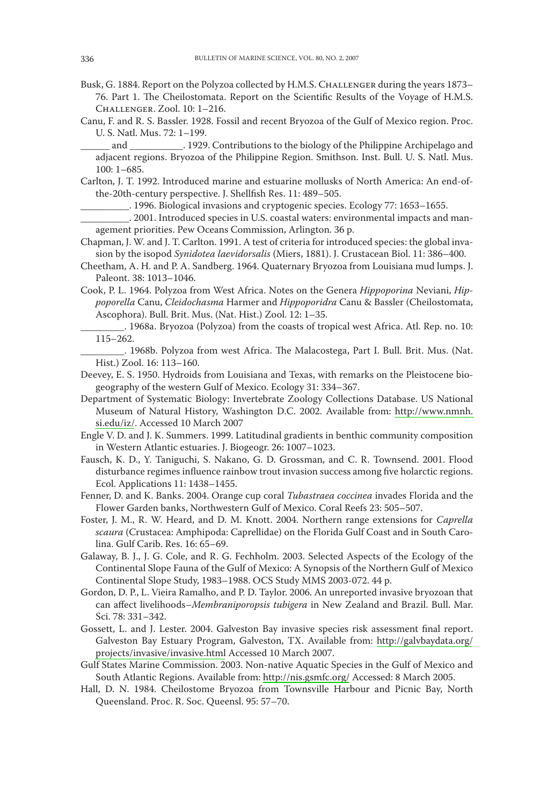- Busk, G. 1884. Report on the Polyzoa collected by H.M.S. CHALLENGER during the years 1873-76. Part 1. The Cheilostomata. Report on the Scientific Results of the Voyage of H.M.S. CHALLENGER, Zool. 10: 1-216.
- Canu, F. and R. S. Bassler. 1928. Fossil and recent Bryozoa of the Gulf of Mexico region. Proc. U. S. Natl. Mus. 72: 1-199.

and \_\_\_\_\_\_\_\_\_\_\_\_\_\_\_\_. 1929. Contributions to the biology of the Philippine Archipelago and adjacent regions. Bryozoa of the Philippine Region. Smithson. Inst. Bull. U. S. Natl. Mus.  $100:1-685.$ 

Carlton, J. T. 1992. Introduced marine and estuarine mollusks of North America: An end-ofthe-20th-century perspective. J. Shellfish Res. 11: 489-505.

... 1996. Biological invasions and cryptogenic species. Ecology 77: 1653-1655.

- . 2001. Introduced species in U.S. coastal waters: environmental impacts and management priorities. Pew Oceans Commission, Arlington. 36 p.
- Chapman, J. W. and J. T. Carlton. 1991. A test of criteria for introduced species: the global invasion by the isopod Synidotea laevidorsalis (Miers, 1881). J. Crustacean Biol. 11: 386-400.
- Cheetham, A. H. and P. A. Sandberg. 1964. Quaternary Bryozoa from Louisiana mud lumps. J. Paleont. 38: 1013-1046.
- Cook, P. L. 1964. Polyzoa from West Africa. Notes on the Genera Hippoporina Neviani, Hippoporella Canu, Cleidochasma Harmer and Hippoporidra Canu & Bassler (Cheilostomata, Ascophora). Bull. Brit. Mus. (Nat. Hist.) Zool. 12: 1-35.
	- . 1968a. Bryozoa (Polyzoa) from the coasts of tropical west Africa. Atl. Rep. no. 10:  $115 - 262.$
- ... 1968b. Polyzoa from west Africa. The Malacostega, Part I. Bull. Brit. Mus. (Nat. Hist.) Zool. 16: 113-160.
- Deevey, E. S. 1950. Hydroids from Louisiana and Texas, with remarks on the Pleistocene biogeography of the western Gulf of Mexico. Ecology 31: 334-367.
- Department of Systematic Biology: Invertebrate Zoology Collections Database. US National Museum of Natural History, Washington D.C. 2002. Available from: http://www.nmnh. si.edu/iz/. Accessed 10 March 2007
- Engle V. D. and J. K. Summers. 1999. Latitudinal gradients in benthic community composition in Western Atlantic estuaries. J. Biogeogr. 26: 1007-1023.
- Fausch, K. D., Y. Taniguchi, S. Nakano, G. D. Grossman, and C. R. Townsend. 2001. Flood disturbance regimes influence rainbow trout invasion success among five holarctic regions. Ecol. Applications 11: 1438-1455.
- Fenner, D. and K. Banks. 2004. Orange cup coral Tubastraea coccinea invades Florida and the Flower Garden banks, Northwestern Gulf of Mexico. Coral Reefs 23: 505-507.
- Foster, J. M., R. W. Heard, and D. M. Knott. 2004. Northern range extensions for *Caprella* scaura (Crustacea: Amphipoda: Caprellidae) on the Florida Gulf Coast and in South Carolina. Gulf Carib. Res. 16: 65-69.
- Galaway, B. J., J. G. Cole, and R. G. Fechholm. 2003. Selected Aspects of the Ecology of the Continental Slope Fauna of the Gulf of Mexico: A Synopsis of the Northern Gulf of Mexico Continental Slope Study, 1983-1988. OCS Study MMS 2003-072. 44 p.
- Gordon, D. P., L. Vieira Ramalho, and P. D. Taylor. 2006. An unreported invasive bryozoan that can affect livelihoods-Membraniporopsis tubigera in New Zealand and Brazil. Bull. Mar. Sci. 78: 331-342.
- Gossett, L. and J. Lester. 2004. Galveston Bay invasive species risk assessment final report. Galveston Bay Estuary Program, Galveston, TX. Available from: http://galvbaydata.org/ projects/invasive/invasive.html Accessed 10 March 2007.
- Gulf States Marine Commission. 2003. Non-native Aquatic Species in the Gulf of Mexico and South Atlantic Regions. Available from: http://nis.gsmfc.org/ Accessed: 8 March 2005.
- Hall, D. N. 1984. Cheilostome Bryozoa from Townsville Harbour and Picnic Bay, North Queensland. Proc. R. Soc. Queensl. 95: 57-70.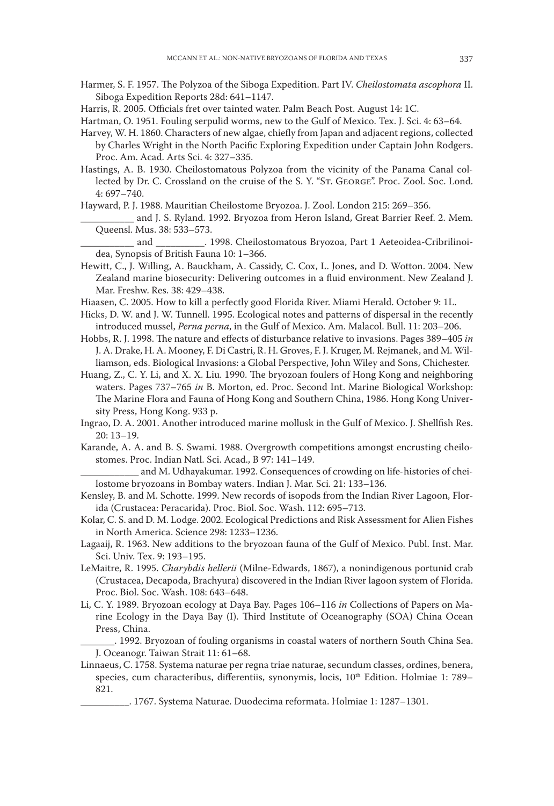- Harmer, S. F. 1957. The Polyzoa of the Siboga Expedition. Part IV. Cheilostomata ascophora II. Siboga Expedition Reports 28d: 641-1147.
- Harris, R. 2005. Officials fret over tainted water. Palm Beach Post. August 14: 1C.

Hartman, O. 1951. Fouling serpulid worms, new to the Gulf of Mexico. Tex. J. Sci. 4: 63-64.

- Harvey, W. H. 1860. Characters of new algae, chiefly from Japan and adjacent regions, collected by Charles Wright in the North Pacific Exploring Expedition under Captain John Rodgers. Proc. Am. Acad. Arts Sci. 4: 327-335.
- Hastings, A. B. 1930. Cheilostomatous Polyzoa from the vicinity of the Panama Canal collected by Dr. C. Crossland on the cruise of the S. Y. "ST. GEORGE". Proc. Zool. Soc. Lond.  $4:697 - 740.$

Hayward, P. J. 1988. Mauritian Cheilostome Bryozoa. J. Zool. London 215: 269-356.

and J. S. Ryland. 1992. Bryozoa from Heron Island, Great Barrier Reef. 2. Mem. Queensl. Mus. 38: 533-573.

and 2998. Cheilostomatous Bryozoa, Part 1 Aeteoidea-Cribrilinoidea, Synopsis of British Fauna 10: 1-366.

- Hewitt, C., J. Willing, A. Bauckham, A. Cassidy, C. Cox, L. Jones, and D. Wotton. 2004. New Zealand marine biosecurity: Delivering outcomes in a fluid environment. New Zealand J. Mar. Freshw. Res. 38: 429-438.
- Hiaasen, C. 2005. How to kill a perfectly good Florida River. Miami Herald. October 9: 1L.
- Hicks, D. W. and J. W. Tunnell. 1995. Ecological notes and patterns of dispersal in the recently introduced mussel, Perna perna, in the Gulf of Mexico. Am. Malacol. Bull. 11: 203-206.
- Hobbs, R. J. 1998. The nature and effects of disturbance relative to invasions. Pages 389-405 in J. A. Drake, H. A. Mooney, F. Di Castri, R. H. Groves, F. J. Kruger, M. Rejmanek, and M. Williamson, eds. Biological Invasions: a Global Perspective, John Wiley and Sons, Chichester.
- Huang, Z., C. Y. Li, and X. X. Liu. 1990. The bryozoan foulers of Hong Kong and neighboring waters. Pages 737-765 in B. Morton, ed. Proc. Second Int. Marine Biological Workshop: The Marine Flora and Fauna of Hong Kong and Southern China, 1986. Hong Kong University Press, Hong Kong. 933 p.
- Ingrao, D. A. 2001. Another introduced marine mollusk in the Gulf of Mexico. J. Shellfish Res.  $20:13-19.$
- Karande, A. A. and B. S. Swami. 1988. Overgrowth competitions amongst encrusting cheilostomes. Proc. Indian Natl. Sci. Acad., B 97: 141-149.

and M. Udhayakumar. 1992. Consequences of crowding on life-histories of cheilostome bryozoans in Bombay waters. Indian J. Mar. Sci. 21: 133-136.

- Kensley, B. and M. Schotte. 1999. New records of isopods from the Indian River Lagoon, Florida (Crustacea: Peracarida). Proc. Biol. Soc. Wash. 112: 695-713.
- Kolar, C. S. and D. M. Lodge. 2002. Ecological Predictions and Risk Assessment for Alien Fishes in North America. Science 298: 1233-1236.
- Lagaaij, R. 1963. New additions to the bryozoan fauna of the Gulf of Mexico. Publ. Inst. Mar. Sci. Univ. Tex. 9: 193-195.
- LeMaitre, R. 1995. Charybdis hellerii (Milne-Edwards, 1867), a nonindigenous portunid crab (Crustacea, Decapoda, Brachyura) discovered in the Indian River lagoon system of Florida. Proc. Biol. Soc. Wash. 108: 643-648.
- Li, C. Y. 1989. Bryozoan ecology at Daya Bay. Pages 106–116 in Collections of Papers on Marine Ecology in the Daya Bay (I). Third Institute of Oceanography (SOA) China Ocean Press, China.

... 1992. Bryozoan of fouling organisms in coastal waters of northern South China Sea. J. Oceanogr. Taiwan Strait 11: 61-68.

Linnaeus, C. 1758. Systema naturae per regna triae naturae, secundum classes, ordines, benera, species, cum characteribus, differentiis, synonymis, locis, 10<sup>th</sup> Edition. Holmiae 1: 789-821.

\_. 1767. Systema Naturae. Duodecima reformata. Holmiae 1: 1287-1301.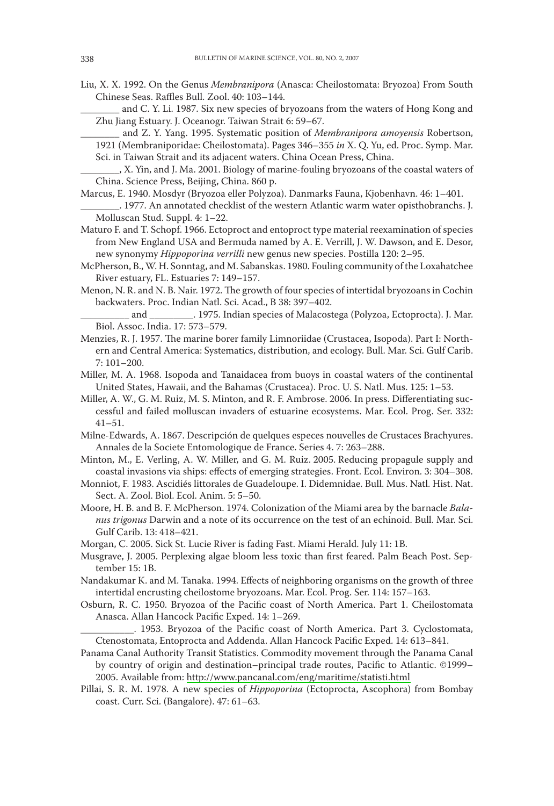- Liu, X. X. 1992. On the Genus Membranipora (Anasca: Cheilostomata: Bryozoa) From South Chinese Seas. Raffles Bull. Zool. 40: 103-144.
	- and C. Y. Li. 1987. Six new species of bryozoans from the waters of Hong Kong and Zhu Jiang Estuary. J. Oceanogr. Taiwan Strait 6: 59-67.
	- and Z. Y. Yang. 1995. Systematic position of Membranipora amoyensis Robertson,

1921 (Membraniporidae: Cheilostomata). Pages 346-355 in X. Q. Yu, ed. Proc. Symp. Mar. Sci. in Taiwan Strait and its adjacent waters. China Ocean Press, China.

- Marcus, E. 1940. Mosdyr (Bryozoa eller Polyzoa). Danmarks Fauna, Kjobenhavn. 46: 1-401. .1977. An annotated checklist of the western Atlantic warm water opisthobranchs. J. Molluscan Stud. Suppl. 4: 1-22.
- Maturo F. and T. Schopf. 1966. Ectoproct and entoproct type material reexamination of species from New England USA and Bermuda named by A. E. Verrill, J. W. Dawson, and E. Desor, new synonymy Hippoporina verrilli new genus new species. Postilla 120: 2-95.
- McPherson, B., W. H. Sonntag, and M. Sabanskas. 1980. Fouling community of the Loxahatchee River estuary, FL. Estuaries 7: 149-157.
- Menon, N. R. and N. B. Nair. 1972. The growth of four species of intertidal bryozoans in Cochin backwaters. Proc. Indian Natl. Sci. Acad., B 38: 397-402.

- Menzies, R. J. 1957. The marine borer family Limnoriidae (Crustacea, Isopoda). Part I: Northern and Central America: Systematics, distribution, and ecology. Bull. Mar. Sci. Gulf Carib.  $7:101 - 200.$
- Miller, M. A. 1968. Isopoda and Tanaidacea from buoys in coastal waters of the continental United States, Hawaii, and the Bahamas (Crustacea). Proc. U. S. Natl. Mus. 125: 1-53.
- Miller, A. W., G. M. Ruiz, M. S. Minton, and R. F. Ambrose. 2006. In press. Differentiating successful and failed molluscan invaders of estuarine ecosystems. Mar. Ecol. Prog. Ser. 332:  $41 - 51.$
- Milne-Edwards, A. 1867. Descripción de quelques especes nouvelles de Crustaces Brachyures. Annales de la Societe Entomologique de France. Series 4.7: 263-288.
- Minton, M., E. Verling, A. W. Miller, and G. M. Ruiz. 2005. Reducing propagule supply and coastal invasions via ships: effects of emerging strategies. Front. Ecol. Environ. 3: 304-308.
- Monniot, F. 1983. Ascidiés littorales de Guadeloupe. I. Didemnidae. Bull. Mus. Natl. Hist. Nat. Sect. A. Zool. Biol. Ecol. Anim. 5: 5-50.
- Moore, H. B. and B. F. McPherson. 1974. Colonization of the Miami area by the barnacle Balanus trigonus Darwin and a note of its occurrence on the test of an echinoid. Bull. Mar. Sci. Gulf Carib. 13: 418-421.
- Morgan, C. 2005. Sick St. Lucie River is fading Fast. Miami Herald. July 11: 1B.
- Musgrave, J. 2005. Perplexing algae bloom less toxic than first feared. Palm Beach Post. September 15: 1B.
- Nandakumar K. and M. Tanaka. 1994. Effects of neighboring organisms on the growth of three intertidal encrusting cheilostome bryozoans. Mar. Ecol. Prog. Ser. 114: 157-163.
- Osburn, R. C. 1950. Bryozoa of the Pacific coast of North America. Part 1. Cheilostomata Anasca. Allan Hancock Pacific Exped. 14: 1-269.

\_. 1953. Bryozoa of the Pacific coast of North America. Part 3. Cyclostomata, Ctenostomata, Entoprocta and Addenda. Allan Hancock Pacific Exped. 14: 613-841.

- Panama Canal Authority Transit Statistics. Commodity movement through the Panama Canal by country of origin and destination-principal trade routes, Pacific to Atlantic. ©1999-2005. Available from: http://www.pancanal.com/eng/maritime/statisti.html
- Pillai, S. R. M. 1978. A new species of *Hippoporina* (Ectoprocta, Ascophora) from Bombay coast. Curr. Sci. (Bangalore). 47: 61-63.

\_, X. Yin, and J. Ma. 2001. Biology of marine-fouling bryozoans of the coastal waters of China. Science Press, Beijing, China. 860 p.

\_ and \_\_\_\_\_\_\_\_\_\_\_. 1975. Indian species of Malacostega (Polyzoa, Ectoprocta). J. Mar. Biol. Assoc. India. 17: 573-579.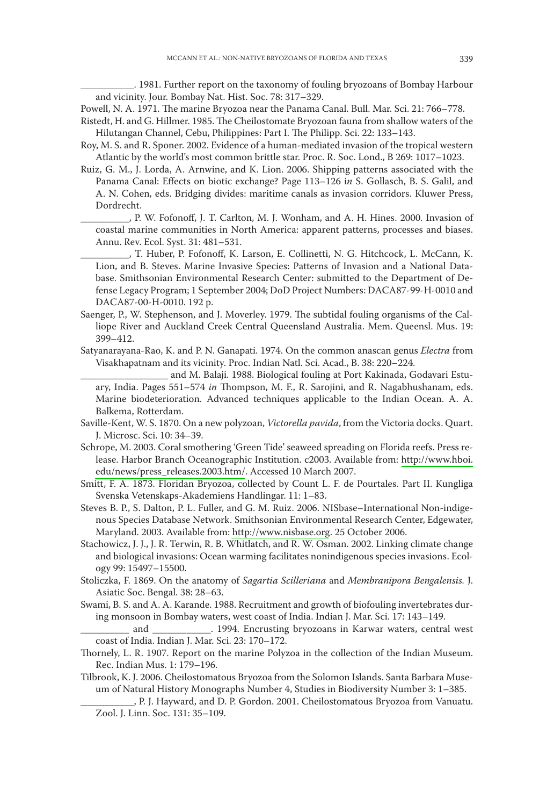. 1981. Further report on the taxonomy of fouling bryozoans of Bombay Harbour and vicinity. Jour. Bombay Nat. Hist. Soc. 78: 317-329.

Powell, N. A. 1971. The marine Bryozoa near the Panama Canal. Bull. Mar. Sci. 21: 766-778.

Ristedt, H. and G. Hillmer. 1985. The Cheilostomate Bryozoan fauna from shallow waters of the Hilutangan Channel, Cebu, Philippines: Part I. The Philipp. Sci. 22: 133-143.

Roy, M. S. and R. Sponer. 2002. Evidence of a human-mediated invasion of the tropical western Atlantic by the world's most common brittle star. Proc. R. Soc. Lond., B 269: 1017-1023.

Ruiz, G. M., J. Lorda, A. Arnwine, and K. Lion. 2006. Shipping patterns associated with the Panama Canal: Effects on biotic exchange? Page 113-126 in S. Gollasch, B. S. Galil, and A. N. Cohen, eds. Bridging divides: maritime canals as invasion corridors. Kluwer Press, Dordrecht.

P. W. Fofonoff, J. T. Carlton, M. J. Wonham, and A. H. Hines. 2000. Invasion of coastal marine communities in North America: apparent patterns, processes and biases. Annu. Rev. Ecol. Syst. 31: 481-531.

, T. Huber, P. Fofonoff, K. Larson, E. Collinetti, N. G. Hitchcock, L. McCann, K. Lion, and B. Steves. Marine Invasive Species: Patterns of Invasion and a National Database. Smithsonian Environmental Research Center: submitted to the Department of Defense Legacy Program; 1 September 2004; DoD Project Numbers: DACA87-99-H-0010 and DACA87-00-H-0010. 192 p.

Saenger, P., W. Stephenson, and J. Moverley. 1979. The subtidal fouling organisms of the Calliope River and Auckland Creek Central Queensland Australia. Mem. Queensl. Mus. 19: 399-412.

Satyanarayana-Rao, K. and P. N. Ganapati. 1974. On the common anascan genus *Electra* from Visakhapatnam and its vicinity. Proc. Indian Natl. Sci. Acad., B. 38: 220-224.

and M. Balaji. 1988. Biological fouling at Port Kakinada, Godavari Estuary, India. Pages 551-574 in Thompson, M. F., R. Sarojini, and R. Nagabhushanam, eds. Marine biodeterioration. Advanced techniques applicable to the Indian Ocean. A. A. Balkema, Rotterdam.

- Saville-Kent, W. S. 1870. On a new polyzoan, Victorella pavida, from the Victoria docks. Quart. J. Microsc. Sci. 10: 34-39.
- Schrope, M. 2003. Coral smothering 'Green Tide' seaweed spreading on Florida reefs. Press release. Harbor Branch Oceanographic Institution. c2003. Available from: http://www.hboi. edu/news/press\_releases.2003.htm/. Accessed 10 March 2007.
- Smitt, F. A. 1873. Floridan Bryozoa, collected by Count L. F. de Pourtales. Part II. Kungliga Svenska Vetenskaps-Akademiens Handlingar. 11: 1-83.
- Steves B. P., S. Dalton, P. L. Fuller, and G. M. Ruiz. 2006. NISbase-International Non-indigenous Species Database Network. Smithsonian Environmental Research Center, Edgewater, Maryland. 2003. Available from: http://www.nisbase.org. 25 October 2006.
- Stachowicz, J. J., J. R. Terwin, R. B. Whitlatch, and R. W. Osman. 2002. Linking climate change and biological invasions: Ocean warming facilitates nonindigenous species invasions. Ecology 99: 15497-15500.
- Stoliczka, F. 1869. On the anatomy of Sagartia Scilleriana and Membranipora Bengalensis. J. Asiatic Soc. Bengal. 38: 28-63.
- Swami, B. S. and A. A. Karande. 1988. Recruitment and growth of biofouling invertebrates during monsoon in Bombay waters, west coast of India. Indian J. Mar. Sci. 17: 143-149.

. 1994. Encrusting bryozoans in Karwar waters, central west and coast of India. Indian J. Mar. Sci. 23: 170-172.

- Thornely, L. R. 1907. Report on the marine Polyzoa in the collection of the Indian Museum. Rec. Indian Mus. 1: 179-196.
- Tilbrook, K. J. 2006. Cheilostomatous Bryozoa from the Solomon Islands. Santa Barbara Museum of Natural History Monographs Number 4, Studies in Biodiversity Number 3: 1-385.

, P. J. Hayward, and D. P. Gordon. 2001. Cheilostomatous Bryozoa from Vanuatu. Zool. J. Linn. Soc. 131: 35-109.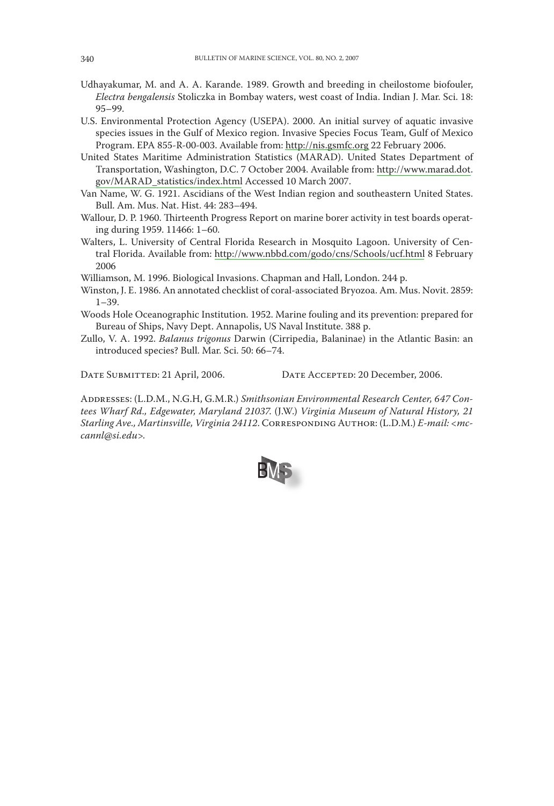- Udhayakumar, M. and A. A. Karande. 1989. Growth and breeding in cheilostome biofouler, Electra bengalensis Stoliczka in Bombay waters, west coast of India. Indian J. Mar. Sci. 18:  $95 - 99.$
- U.S. Environmental Protection Agency (USEPA). 2000. An initial survey of aquatic invasive species issues in the Gulf of Mexico region. Invasive Species Focus Team, Gulf of Mexico Program. EPA 855-R-00-003. Available from: http://nis.gsmfc.org 22 February 2006.
- United States Maritime Administration Statistics (MARAD). United States Department of Transportation, Washington, D.C. 7 October 2004. Available from: http://www.marad.dot. gov/MARAD\_statistics/index.html Accessed 10 March 2007.
- Van Name, W. G. 1921. Ascidians of the West Indian region and southeastern United States. Bull. Am. Mus. Nat. Hist. 44: 283-494.
- Wallour, D. P. 1960. Thirteenth Progress Report on marine borer activity in test boards operating during 1959. 11466: 1-60.
- Walters, L. University of Central Florida Research in Mosquito Lagoon. University of Central Florida. Available from: http://www.nbbd.com/godo/cns/Schools/ucf.html 8 February 2006

Williamson, M. 1996. Biological Invasions. Chapman and Hall, London. 244 p.

- Winston, J. E. 1986. An annotated checklist of coral-associated Bryozoa. Am. Mus. Novit. 2859:  $1 - 39$
- Woods Hole Oceanographic Institution. 1952. Marine fouling and its prevention: prepared for Bureau of Ships, Navy Dept. Annapolis, US Naval Institute. 388 p.
- Zullo, V. A. 1992. Balanus trigonus Darwin (Cirripedia, Balaninae) in the Atlantic Basin: an introduced species? Bull. Mar. Sci. 50: 66-74.

DATE SUBMITTED: 21 April, 2006.

DATE ACCEPTED: 20 December, 2006.

ADDRESSES: (L.D.M., N.G.H, G.M.R.) Smithsonian Environmental Research Center, 647 Contees Wharf Rd., Edgewater, Maryland 21037. (J.W.) Virginia Museum of Natural History, 21 Starling Ave., Martinsville, Virginia 24112. CORRESPONDING AUTHOR: (L.D.M.) E-mail: <mccannl@si.edu>.

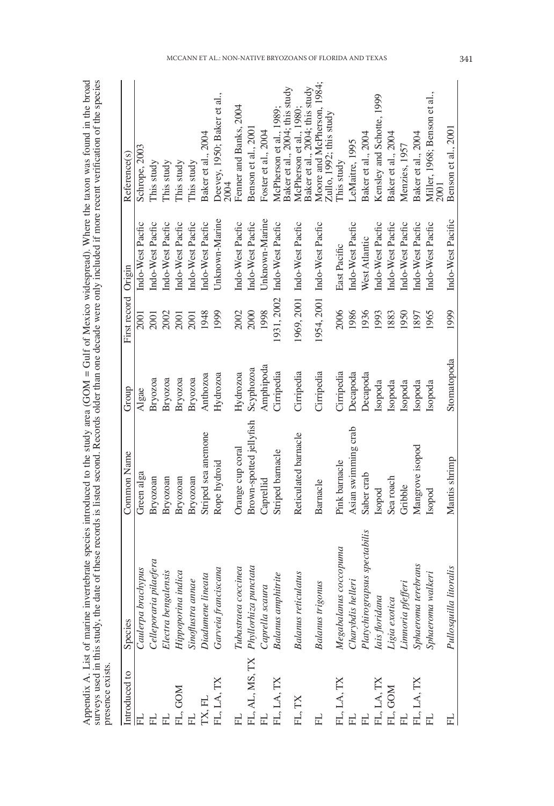| I                         | 221 ע                     |            |
|---------------------------|---------------------------|------------|
| į                         |                           |            |
| í                         |                           |            |
| "大家"的                     |                           |            |
|                           | 25.757                    |            |
| $500 + 7119$              |                           |            |
|                           |                           |            |
| :<br>:                    | $\ddot{\phantom{0}}$      |            |
|                           |                           |            |
|                           |                           |            |
|                           | יי הייראי                 |            |
| $M$ home in<br>I          |                           |            |
|                           |                           |            |
|                           | ¢                         |            |
|                           |                           |            |
|                           | $\overline{\phantom{a}}$  |            |
|                           |                           |            |
|                           |                           |            |
| .<br>+                    |                           |            |
|                           |                           |            |
| $\mathbb{N} = \mathbb{N}$ |                           |            |
|                           | In aldertham and          |            |
|                           |                           |            |
|                           |                           |            |
| Ī                         | i                         |            |
|                           |                           |            |
|                           |                           |            |
| $\ddot{\text{}}$          |                           |            |
|                           |                           |            |
|                           |                           |            |
| $\frac{1}{2}$             |                           |            |
|                           |                           |            |
| Ì                         |                           |            |
|                           |                           |            |
| rota.<br>ś                | han                       |            |
| ξ                         | $\frac{1}{\zeta}$         |            |
| in<br>C                   | ia di                     |            |
|                           |                           |            |
| t marine i                | į                         |            |
|                           |                           |            |
| $\sim$                    |                           |            |
|                           |                           | くそくすい<br>۱ |
|                           | so used in this study the |            |
| nnondur A                 |                           |            |
| í                         |                           |            |
|                           |                           |            |

| Introduced to | Species                             | Common Name             | Group                     | First record Origin |                             | Reference(s)                                              |
|---------------|-------------------------------------|-------------------------|---------------------------|---------------------|-----------------------------|-----------------------------------------------------------|
|               | Caulerpa brachypus                  | Green alga              | $\mathrm{Alga}\mathrm{e}$ | 2001                | Indo-West Pacfic            | Schrope, 2003                                             |
|               | Celleporaria pilaefera              | Bryozoan                | Bryozoa                   | 2001                | Indo-West Pacfic            | This study                                                |
|               | Electra bengalensis                 | Bryozoan                | Bryozoa                   | 2002                | Indo-West Pacfic            | This study                                                |
| FL, GOM       | Hippoporina indica                  | Bryozoan                | Bryozoa                   | 2001                | Indo-West Pacfic            | This study                                                |
|               | Sinoflustra annae                   | Bryozoan                | Вгуоzоа                   | 2001                | Indo-West Pacfic            | This study                                                |
| TX, FL        | Diadumene lineata                   | Striped sea anemone     | Anthozoa                  | 1948                | Indo-West Pacfic            | Baker et al., 2004                                        |
| FL, LA, TX    | Garveia franciscana                 | Rope hydroid            | Hydrozoa                  | 1999                | Unknown-Marine              | Deevey, 1950; Baker et al.,<br>2004                       |
|               | Tubastraea coccinea                 | Orange cup coral        | Hydrozoa                  | 2002                | Indo-West Pacfic            | Fenner and Banks, 2004                                    |
|               | FL, AL, MS, TX Phyllorhiza punctata | Brown-spotted jellyfish | Scyphozoa                 | 2000                | Indo-West Pacfic            | Benson et al., 200                                        |
|               | Caprella scaura                     | Caprellid               | Amphipoda                 | 1998                | Unknown-Marine              | Foster et al., 2004                                       |
| FL, LA, TX    | <b>Balanus</b> amphitrite           | Striped barnacle        | Cirripedia                |                     | 1931, 2002 Indo-West Pacfic | Baker et al., 2004; this study<br>McPherson et al., 1989; |
| FL, TX        | <b>Balanus reticulatus</b>          | Reticulated barnacle    | Cirripedia                |                     | 1969, 2001 Indo-West Pacfic | Baker et al., 2004; this study<br>McPherson et al., 1980; |
|               | <b>Balanus</b> trigonus             | Barnacle                | Cirripedia                |                     | 1954, 2001 Indo-West Pacfic | Moore and McPherson, 1984;<br>Zullo, 1992; this study     |
| FL, LA, TX    | Megabalanus coccopuma               | Pink barnacle           | Cirripedia                | 2006                | East Pacific                | This study                                                |
|               | Charybdis helleri                   | Asian swimming crab     | Decapoda                  | 1986                | Indo-West Pacfic            | LeMaitre, 1995                                            |
|               | Platychirograpsus spectabilis       | Saber crab              | Decapoda                  | 1936                | West Atlantic               | Baker et al., 2004                                        |
| FL, LA, TX    | Iais floridana                      | Isopod                  | Isopoda                   | 1993                | Indo-West Pacfic            | Kensley and Schotte, 1999                                 |
| FL, GOM<br>FL | Ligia exotica                       | Sea roach               | Isopoda                   | 1883                | Indo-West Pacfic            | Baker et al., 2004                                        |
|               | Limnoria pfefferi                   | Gribble                 | Isopoda                   | 1950                | Indo-West Pacfic            | Menzies, 1957                                             |
| FL, LA, TX    | Sphaeroma terebrans                 | Mangrove isopod         | Isopoda                   | 1897                | Indo-West Pacfic            | Baker et al., 2004                                        |
|               | Sphaeroma walkeri                   | Isopod                  | Isopoda                   | 1965                | Indo-West Pacfic            | Miller, 1968; Benson et al.,<br>2001                      |
|               | Pullosquilla litoralis              | Mantis shrimp           | Stomatopoda               | 1999                | Indo-West Pacific           | Benson et al., 2001                                       |